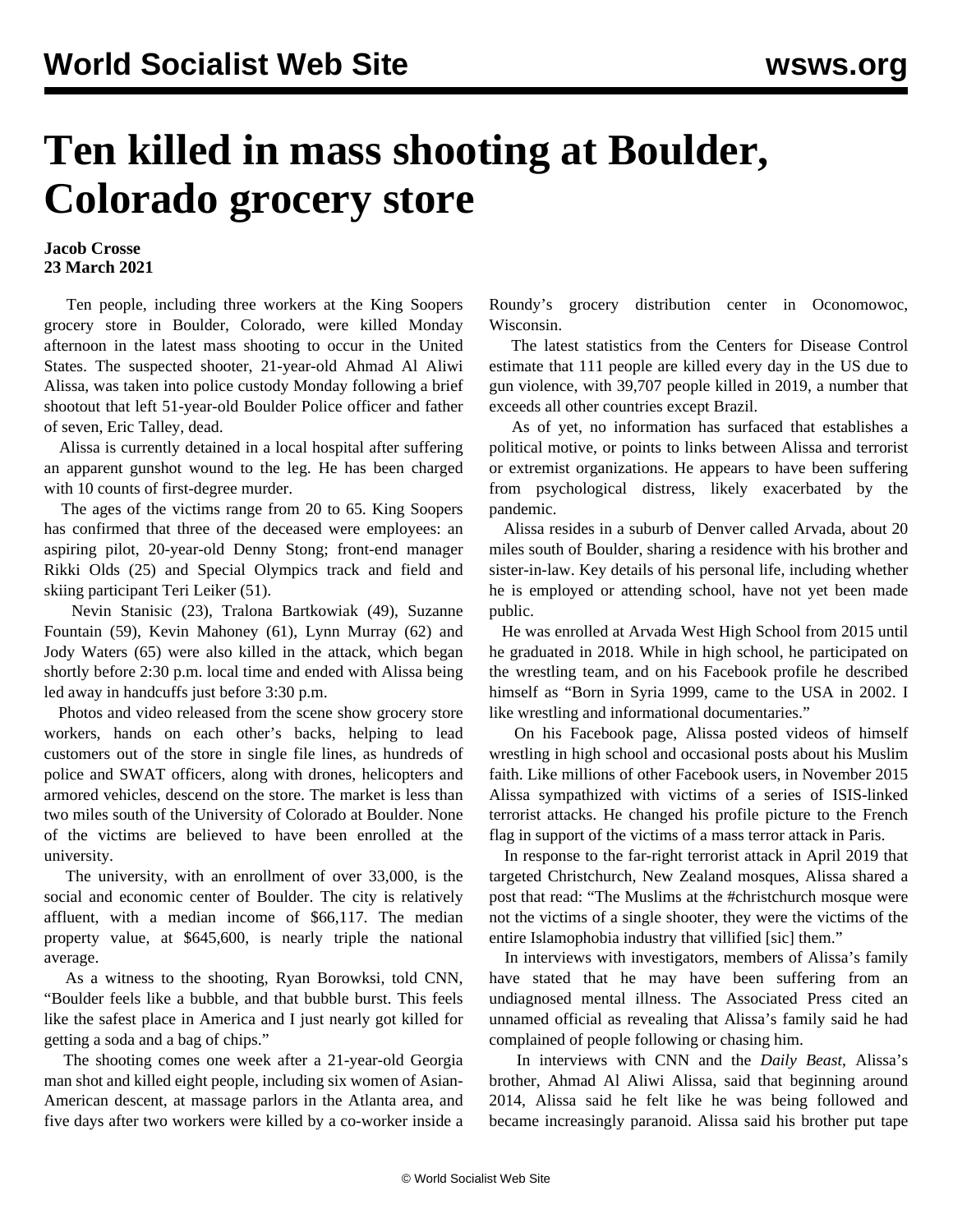## **Ten killed in mass shooting at Boulder, Colorado grocery store**

## **Jacob Crosse 23 March 2021**

 Ten people, including three workers at the King Soopers grocery store in Boulder, Colorado, were killed Monday afternoon in the latest mass shooting to occur in the United States. The suspected shooter, 21-year-old Ahmad Al Aliwi Alissa, was taken into police custody Monday following a brief shootout that left 51-year-old Boulder Police officer and father of seven, Eric Talley, dead.

 Alissa is currently detained in a local hospital after suffering an apparent gunshot wound to the leg. He has been charged with 10 counts of first-degree murder.

 The ages of the victims range from 20 to 65. King Soopers has confirmed that three of the deceased were employees: an aspiring pilot, 20-year-old Denny Stong; front-end manager Rikki Olds (25) and Special Olympics track and field and skiing participant Teri Leiker (51).

 Nevin Stanisic (23), Tralona Bartkowiak (49), Suzanne Fountain (59), Kevin Mahoney (61), Lynn Murray (62) and Jody Waters (65) were also killed in the attack, which began shortly before 2:30 p.m. local time and ended with Alissa being led away in handcuffs just before 3:30 p.m.

 Photos and video released from the scene show grocery store workers, hands on each other's backs, helping to lead customers out of the store in single file lines, as hundreds of police and SWAT officers, along with drones, helicopters and armored vehicles, descend on the store. The market is less than two miles south of the University of Colorado at Boulder. None of the victims are believed to have been enrolled at the university.

 The university, with an enrollment of over 33,000, is the social and economic center of Boulder. The city is relatively affluent, with a median income of \$66,117. The median property value, at \$645,600, is nearly triple the national average.

 As a witness to the shooting, Ryan Borowksi, told CNN, "Boulder feels like a bubble, and that bubble burst. This feels like the safest place in America and I just nearly got killed for getting a soda and a bag of chips."

 The shooting comes one week after a 21-year-old Georgia man shot and killed eight people, including six women of Asian-American descent, at massage parlors in the Atlanta area, and five days after two workers were killed by a co-worker inside a Roundy's grocery distribution center in Oconomowoc, Wisconsin.

 The latest statistics from the Centers for Disease Control estimate that 111 people are killed every day in the US due to gun violence, with 39,707 people killed in 2019, a number that exceeds all other countries except Brazil.

 As of yet, no information has surfaced that establishes a political motive, or points to links between Alissa and terrorist or extremist organizations. He appears to have been suffering from psychological distress, likely exacerbated by the pandemic.

 Alissa resides in a suburb of Denver called Arvada, about 20 miles south of Boulder, sharing a residence with his brother and sister-in-law. Key details of his personal life, including whether he is employed or attending school, have not yet been made public.

 He was enrolled at Arvada West High School from 2015 until he graduated in 2018. While in high school, he participated on the wrestling team, and on his Facebook profile he described himself as "Born in Syria 1999, came to the USA in 2002. I like wrestling and informational documentaries."

 On his Facebook page, Alissa posted videos of himself wrestling in high school and occasional posts about his Muslim faith. Like millions of other Facebook users, in November 2015 Alissa sympathized with victims of a series of ISIS-linked terrorist attacks. He changed his profile picture to the French flag in support of the victims of a mass terror attack in Paris.

 In response to the far-right terrorist attack in April 2019 that targeted Christchurch, New Zealand mosques, Alissa shared a post that read: "The Muslims at the #christchurch mosque were not the victims of a single shooter, they were the victims of the entire Islamophobia industry that villified [sic] them."

 In interviews with investigators, members of Alissa's family have stated that he may have been suffering from an undiagnosed mental illness. The Associated Press cited an unnamed official as revealing that Alissa's family said he had complained of people following or chasing him.

 In interviews with CNN and the *Daily Beast*, Alissa's brother, Ahmad Al Aliwi Alissa, said that beginning around 2014, Alissa said he felt like he was being followed and became increasingly paranoid. Alissa said his brother put tape